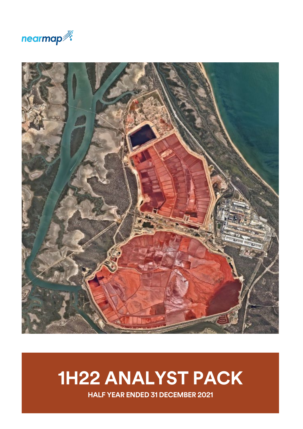



# **1H22 ANALYST PACK**

**HALF YEAR ENDED 31 DECEMBER 2021**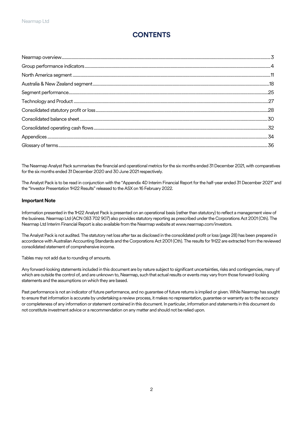## **CONTENTS**

The Nearmap Analyst Pack summarises the financial and operational metrics for the six months ended 31 December 2021, with comparatives for the six months ended 31 December 2020 and 30 June 2021 respectively.

The Analyst Pack is to be read in conjunction with the "Appendix 4D Interim Financial Report for the half-year ended 31 December 2021" and the "Investor Presentation 1H22 Results" released to the ASX on 16 February 2022.

#### **Important Note**

Information presented in the 1H22 Analyst Pack is presented on an operational basis (rather than statutory) to reflect a management view of the business. Nearmap Ltd (ACN 083 702 907) also provides statutory reporting as prescribed under the Corporations Act 2001 (Cth). The Nearmap Ltd Interim Financial Report is also available from the Nearmap website a[t www.nearmap.com/investors.](http://www.nearmap.com/investors)

The Analyst Pack is not audited. The statutory net loss after tax as disclosed in the consolidated profit or loss (page 28) has been prepared in accordance with Australian Accounting Standards and the Corporations Act 2001 (Cth). The results for 1H22 are extracted from the reviewed consolidated statement of comprehensive income.

Tables may not add due to rounding of amounts.

Any forward-looking statements included in this document are by nature subject to significant uncertainties, risks and contingencies, many of which are outside the control of, and are unknown to, Nearmap, such that actual results or events may vary from those forward-looking statements and the assumptions on which they are based.

Past performance is not an indicator of future performance, and no guarantee of future returns is implied or given. While Nearmap has sought to ensure that information is accurate by undertaking a review process, it makes no representation, guarantee or warranty as to the accuracy or completeness of any information or statement contained in this document. In particular, information and statements in this document do not constitute investment advice or a recommendation on any matter and should not be relied upon.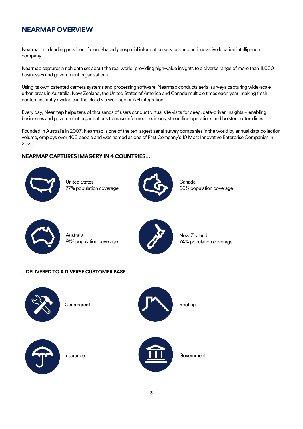## <span id="page-2-0"></span>**NEARMAP OVERVIEW**

Nearmap is a leading provider of cloud-based geospatial information services and an innovative location intelligence company.

Nearmap captures a rich data set about the real world, providing high-value insights to a diverse range of more than 11,000 businesses and government organisations.

Using its own patented camera systems and processing software, Nearmap conducts aerial surveys capturing wide-scale urban areas in Australia, New Zealand, the United States of America and Canada multiple times each year, making fresh content instantly available in the cloud via web app or API integration.

Every day, Nearmap helps tens of thousands of users conduct virtual site visits for deep, data-driven insights – enabling businesses and government organisations to make informed decisions, streamline operations and bolster bottom lines.

Founded in Australia in 2007, Nearmap is one of the ten largest aerial survey companies in the world by annual data collection volume, employs over 400 people and was named as one of Fast Company's 10 Most Innovative Enterprise Companies in 2020.

#### **NEARMAP CAPTURES IMAGERY IN 4 COUNTRIES…**



United States 77% population coverage



Canada 66% population coverage



Australia 91% population coverage



New Zealand 74% population coverage

#### **…DELIVERED TO A DIVERSE CUSTOMER BASE…**



**Commercial** 







Insurance



**Government**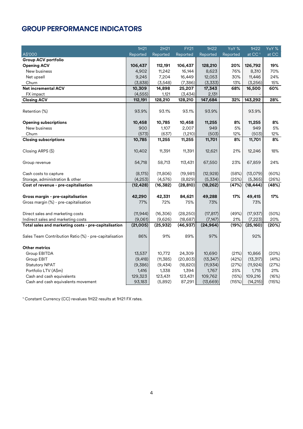## <span id="page-3-0"></span>**GROUP PERFORMANCE INDICATORS**

|                                                        | 1H21      | 2H21      | <b>FY21</b> | 1H22      | YoY %    | 1H22               | YoY %  |
|--------------------------------------------------------|-----------|-----------|-------------|-----------|----------|--------------------|--------|
| A\$'000                                                | Reported  | Reported  | Reported    | Reported  | Reported | at CC <sup>1</sup> | at CC  |
| <b>Group ACV portfolio</b>                             |           |           |             |           |          |                    |        |
| <b>Opening ACV</b>                                     | 106,437   | 112,191   | 106,437     | 128,210   | 20%      | 126,792            | 19%    |
| New business                                           | 4,902     | 11,242    | 16,144      | 8,623     | 76%      | 8,310              | 70%    |
| Net upsell                                             | 9,245     | 7,204     | 16,449      | 12,053    | 30%      | 11,446             | 24%    |
| Churn                                                  | (3,838)   | (3, 548)  | (7,386)     | (3,333)   | 13%      | (3,256)            | 15%    |
| <b>Net incremental ACV</b>                             | 10,309    | 14,898    | 25,207      | 17,343    | 68%      | 16,500             | 60%    |
| FX impact                                              | (4, 555)  | 1,121     | (3,434)     | 2,131     |          |                    |        |
| <b>Closing ACV</b>                                     | 112,191   | 128,210   | 128,210     | 147,684   | 32%      | 143,292            | 28%    |
| Retention (%)                                          | 93.9%     | 93.1%     | 93.1%       | 93.9%     |          | 93.9%              |        |
|                                                        |           |           |             |           |          |                    |        |
| <b>Opening subscriptions</b>                           | 10,458    | 10,785    | 10,458      | 11,255    | 8%       | 11,255             | 8%     |
| New business                                           | 900       | 1,107     | 2,007       | 949       | 5%       | 949                | 5%     |
| Churn                                                  | (573)     | (637)     | (1,210)     | (503)     | 12%      | (503)              | 12%    |
| <b>Closing subscriptions</b>                           | 10,785    | 11,255    | 11,255      | 11,701    | 8%       | 11,701             | 8%     |
| Closing ARPS (\$)                                      | 10,402    | 11,391    | 11,391      | 12,621    | 21%      | 12,246             | 18%    |
| Group revenue                                          | 54,718    | 58,713    | 113,431     | 67,550    | 23%      | 67,859             | 24%    |
| Cash costs to capture                                  | (8,175)   | (11,806)  | (19, 981)   | (12, 928) | (58%)    | (13,079)           | (60%)  |
| Storage, administration & other                        | (4,253)   | (4, 576)  | (8,829)     | (5,334)   | (25%)    | (5,365)            | (26%)  |
| Cost of revenue - pre-capitalisation                   | (12, 428) | (16, 382) | (28, 810)   | (18, 262) | (47%)    | (18, 444)          | (48%)  |
|                                                        |           |           |             |           |          |                    |        |
| Gross margin - pre-capitalisation                      | 42,290    | 42,331    | 84,621      | 49,288    | 17%      | 49,415             | 17%    |
| Gross margin (%) - pre-capitalisation                  | 77%       | 72%       | 75%         | 73%       |          | 73%                |        |
| Direct sales and marketing costs                       | (11, 944) | (16,306)  | (28, 250)   | (17, 817) | (49%)    | (17, 937)          | (50%)  |
| Indirect sales and marketing costs                     | (9,061)   | (9,626)   | (18, 687)   | (7, 147)  | 21%      | (7, 223)           | 20%    |
| Total sales and marketing costs - pre-capitalisation   | (21,005)  | (25, 932) | (46, 937)   | (24, 964) | (19%)    | (25, 160)          | (20%)  |
|                                                        |           |           |             |           |          |                    |        |
| Sales Team Contribution Ratio (%) - pre-capitalisation | 86%       | 91%       | 89%         | 97%       |          | 92%                |        |
| <b>Other metrics</b>                                   |           |           |             |           |          |                    |        |
| Group EBITDA                                           | 13,537    | 10,772    | 24,309      | 10,690    | (21%)    | 10,866             | (20%)  |
| Group EBIT                                             | (9, 418)  | (11, 385) | (20, 803)   | (13, 347) | (42%)    | (13, 317)          | (41%)  |
| <b>Statutory NPAT</b>                                  | (9,386)   | (9,434)   | (18, 820)   | (11, 934) | (27%)    | (11, 924)          | (27%)  |
| Portfolio LTV (A\$m)                                   | 1,416     | 1,338     | 1,394       | 1,767     | 25%      | 1,715              | 21%    |
| Cash and cash equivalents                              | 129,323   | 123,431   | 123,431     | 109,762   | (15%)    | 109,216            | (16%)  |
| Cash and cash equivalents movement                     | 93,183    | (5,892)   | 87,291      | (13,669)  | (115%)   | (14, 215)          | (115%) |

<sup>1</sup> Constant Currency (CC) revalues 1H22 results at 1H21 FX rates.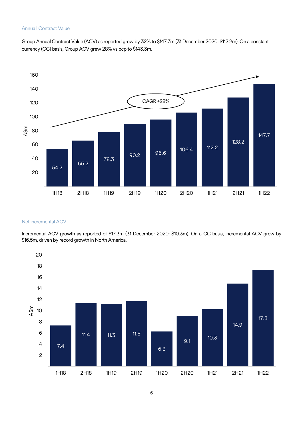#### Annua l Contract Value

Group Annual Contract Value (ACV) as reported grew by 32% to \$147.7m (31 December 2020: \$112.2m). On a constant currency (CC) basis, Group ACV grew 28% vs pcp to \$143.3m.



#### Net incremental ACV

Incremental ACV growth as reported of \$17.3m (31 December 2020: \$10.3m). On a CC basis, incremental ACV grew by \$16.5m, driven by record growth in North America.

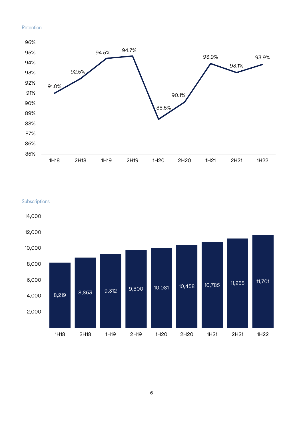#### Retention



**Subscriptions** 



6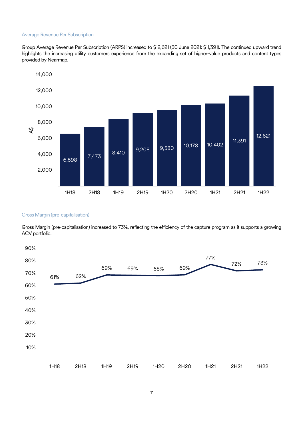#### Average Revenue Per Subscription

Group Average Revenue Per Subscription (ARPS) increased to \$12,621 (30 June 2021: \$11,391). The continued upward trend highlights the increasing utility customers experience from the expanding set of higher-value products and content types provided by Nearmap.



#### Gross Margin (pre-capitalisation)

Gross Margin (pre-capitalisation) increased to 73%, reflecting the efficiency of the capture program as it supports a growing ACV portfolio.

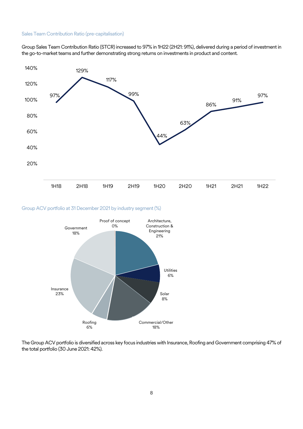#### Sales Team Contribution Ratio (pre-capitalisation)

Group Sales Team Contribution Ratio (STCR) increased to 97% in 1H22 (2H21: 91%), delivered during a period of investment in the go-to-market teams and further demonstrating strong returns on investments in product and content.



#### Group ACV portfolio at 31 December 2021 by industry segment (%)



The Group ACV portfolio is diversified across key focus industries with Insurance, Roofing and Government comprising 47% of the total portfolio (30 June 2021: 42%).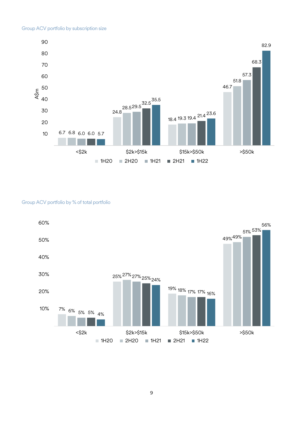

#### Group ACV portfolio by % of total portfolio

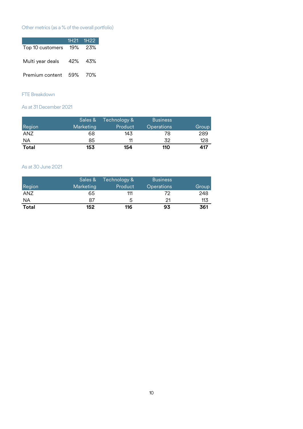## Other metrics (as a % of the overall portfolio)

|                         | 1H21 1H22 |
|-------------------------|-----------|
| Top 10 customers        | 19% 23%   |
| Multi year deals        | 42% 43%   |
| Premium content 59% 70% |           |

### FTE Breakdown

As at 31 December 2021

|        | Sales &   | Technology & | <b>Business</b>   |       |
|--------|-----------|--------------|-------------------|-------|
| Region | Marketing | Product      | <b>Operations</b> | Group |
| ANZ    | 68        | 143          | 78                | 289   |
| ΝA     | 85        |              | 32                | 128   |
| Total  | 153       | 154          | 110               | 417   |

#### As at 30 June 2021

|              | Sales &   | Technology & | <b>Business</b>   |       |
|--------------|-----------|--------------|-------------------|-------|
| Region       | Marketing | Product      | <b>Operations</b> | Group |
| <b>ANZ</b>   | 65        | 111          | 72                | 248   |
| ΝA           | 87        | ٠h           | 21                | 113   |
| <b>Total</b> | 152       | 116          | 93                | 361   |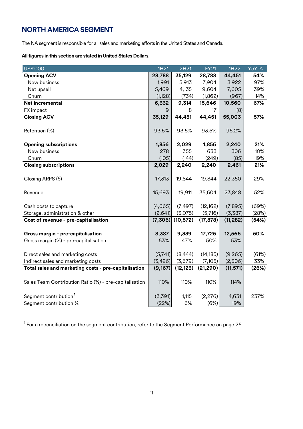## <span id="page-10-0"></span>**NORTH AMERICA SEGMENT**

The NA segment is responsible for all sales and marketing efforts in the United States and Canada.

#### **All figures in this section are stated in United States Dollars.**

| US\$'000                                               | 1H21     | 2H21      | <b>FY21</b> | 1H22      | YoY % |
|--------------------------------------------------------|----------|-----------|-------------|-----------|-------|
| <b>Opening ACV</b>                                     | 28,788   | 35,129    | 28,788      | 44,451    | 54%   |
| New business                                           | 1,991    | 5,913     | 7,904       | 3,922     | 97%   |
| Net upsell                                             | 5,469    | 4,135     | 9,604       | 7,605     | 39%   |
| Churn                                                  | (1, 128) | (734)     | (1,862)     | (967)     | 14%   |
| Net incremental                                        | 6,332    | 9,314     | 15,646      | 10,560    | 67%   |
| FX impact                                              | 9        | 8         | 17          | (8)       |       |
| <b>Closing ACV</b>                                     | 35,129   | 44,451    | 44,451      | 55,003    | 57%   |
| Retention (%)                                          | 93.5%    | 93.5%     | 93.5%       | 95.2%     |       |
| <b>Opening subscriptions</b>                           | 1,856    | 2,029     | 1,856       | 2,240     | 21%   |
| New business                                           | 278      | 355       | 633         | 306       | 10%   |
| Churn                                                  | (105)    | (144)     | (249)       | (85)      | 19%   |
| <b>Closing subscriptions</b>                           | 2,029    | 2,240     | 2,240       | 2,461     | 21%   |
| Closing ARPS (\$)                                      | 17,313   | 19,844    | 19,844      | 22,350    | 29%   |
| Revenue                                                | 15,693   | 19,911    | 35,604      | 23,848    | 52%   |
| Cash costs to capture                                  | (4,665)  | (7, 497)  | (12, 162)   | (7,895)   | (69%) |
| Storage, administration & other                        | (2,641)  | (3,075)   | (5,716)     | (3,387)   | (28%) |
| Cost of revenue - pre-capitalisation                   | (7,306)  | (10, 572) | (17, 878)   | (11, 282) | (54%) |
| Gross margin - pre-capitalisation                      | 8,387    | 9,339     | 17,726      | 12,566    | 50%   |
| Gross margin (%) - pre-capitalisation                  | 53%      | 47%       | 50%         | 53%       |       |
| Direct sales and marketing costs                       | (5,741)  | (8, 444)  | (14, 185)   | (9,265)   | (61%) |
| Indirect sales and marketing costs                     | (3, 426) | (3,679)   | (7,105)     | (2,306)   | 33%   |
| Total sales and marketing costs - pre-capitalisation   | (9,167)  | (12, 123) | (21, 290)   | (11, 571) | (26%) |
| Sales Team Contribution Ratio (%) - pre-capitalisation | 110%     | 110%      | 110%        | 114%      |       |
| Segment contribution <sup>1</sup>                      | (3,391)  | 1,115     | (2, 276)    | 4,631     | 237%  |
| Segment contribution %                                 | (22%)    | 6%        | (6%)        | 19%       |       |

 $^{\rm 1}$  For a reconciliation on the segment contribution, refer to the Segment Performance on page 25.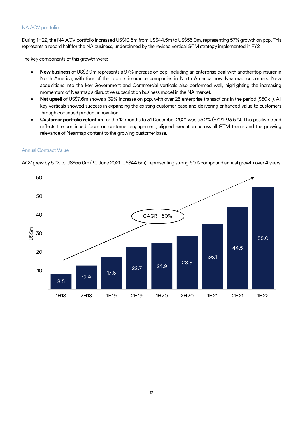#### NA ACV portfolio

During 1H22, the NA ACV portfolio increased US\$10.6m from US\$44.5m to US\$55.0m, representing 57% growth on pcp. This represents a record half for the NA business, underpinned by the revised vertical GTM strategy implemented in FY21.

The key components of this growth were:

- **New business** of US\$3.9m represents a 97% increase on pcp, including an enterprise deal with another top insurer in North America, with four of the top six insurance companies in North America now Nearmap customers. New acquisitions into the key Government and Commercial verticals also performed well, highlighting the increasing momentum of Nearmap's disruptive subscription business model in the NA market.
- **Net upsell** of US\$7.6m shows a 39% increase on pcp, with over 25 enterprise transactions in the period (\$50k+). All key verticals showed success in expanding the existing customer base and delivering enhanced value to customers through continued product innovation.
- **Customer portfolio retention** for the 12 months to 31 December 2021 was 95.2% (FY21: 93.5%). This positive trend reflects the continued focus on customer engagement, aligned execution across all GTM teams and the growing relevance of Nearmap content to the growing customer base.

#### Annual Contract Value

ACV grew by 57% to US\$55.0m (30 June 2021: US\$44.5m), representing strong 60% compound annual growth over 4 years.

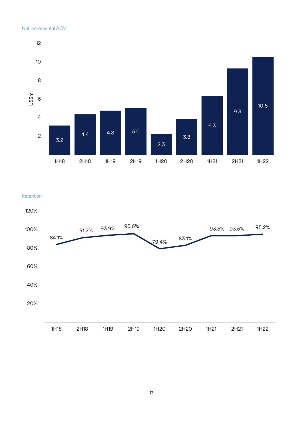#### Net incremental ACV



#### Retention

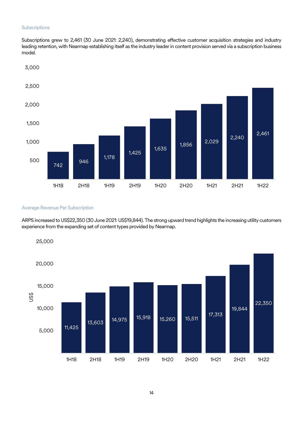#### **Subscriptions**

Subscriptions grew to 2,461 (30 June 2021: 2,240), demonstrating effective customer acquisition strategies and industry leading retention, with Nearmap establishing itself as the industry leader in content provision served via a subscription business model.



#### Average Revenue Per Subscription

ARPS increased to US\$22,350(30 June 2021: US\$19,844). The strong upward trend highlights the increasing utility customers experience from the expanding set of content types provided by Nearmap.

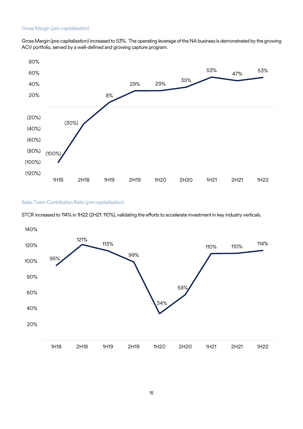Gross Margin (pre-capitalisation) increased to 53%. The operating leverage of the NA business is demonstrated by the growing ACV portfolio, served by a well-defined and growing capture program.



#### Sales Team Contribution Ratio (pre-capitalisation)

STCR increased to 114% in 1H22 (2H21: 110%), validating the efforts to accelerate investment in key industry verticals.

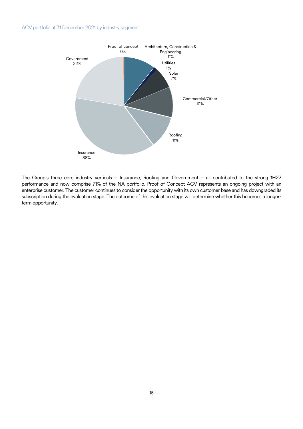#### ACV portfolio at 31 December 2021 by industry segment



The Group's three core industry verticals – Insurance, Roofing and Government – all contributed to the strong 1H22 performance and now comprise 71% of the NA portfolio. Proof of Concept ACV represents an ongoing project with an enterprise customer. The customer continues to consider the opportunity with its own customer base and has downgraded its subscription during the evaluation stage. The outcome of this evaluation stage will determine whether this becomes a longerterm opportunity.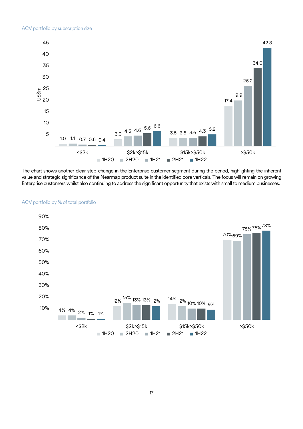

The chart shows another clear step-change in the Enterprise customer segment during the period, highlighting the inherent value and strategic significance of the Nearmap product suite in the identified core verticals. The focus will remain on growing Enterprise customers whilst also continuing to address the significant opportunity that exists with small to medium businesses.



#### ACV portfolio by % of total portfolio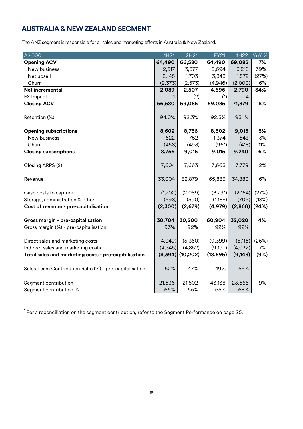## <span id="page-17-0"></span>**AUSTRALIA & NEW ZEALAND SEGMENT**

The ANZ segment is responsible for all sales and marketing efforts in Australia & New Zealand.

| A\$'000                                                | 1H21     | 2H21      | <b>FY21</b> | 1H22     | YoY % |
|--------------------------------------------------------|----------|-----------|-------------|----------|-------|
| <b>Opening ACV</b>                                     | 64,490   | 66,580    | 64,490      | 69,085   | 7%    |
| New business                                           | 2,317    | 3,377     | 5,694       | 3,218    | 39%   |
| Net upsell                                             | 2,145    | 1,703     | 3,848       | 1,572    | (27%) |
| Churn                                                  | (2,373)  | (2,573)   | (4,946)     | (2,000)  | 16%   |
| Net incremental                                        | 2,089    | 2,507     | 4,596       | 2,790    | 34%   |
| FX Impact                                              | 1.       | (2)       | (1)         | 4        |       |
| <b>Closing ACV</b>                                     | 66,580   | 69,085    | 69,085      | 71,879   | 8%    |
| Retention (%)                                          | 94.0%    | 92.3%     | 92.3%       | 93.1%    |       |
| <b>Opening subscriptions</b>                           | 8,602    | 8,756     | 8,602       | 9,015    | 5%    |
| New business                                           | 622      | 752       | 1,374       | 643      | 3%    |
| Churn                                                  | (468)    | (493)     | (961)       | (418)    | 11%   |
| <b>Closing subscriptions</b>                           | 8,756    | 9,015     | 9,015       | 9,240    | 6%    |
| Closing ARPS (\$)                                      | 7,604    | 7,663     | 7,663       | 7,779    | 2%    |
| Revenue                                                | 33,004   | 32,879    | 65,883      | 34,880   | 6%    |
| Cash costs to capture                                  | (1,702)  | (2,089)   | (3,791)     | (2, 154) | (27%) |
| Storage, administration & other                        | (598)    | (590)     | (1,188)     | (706)    | (18%) |
| Cost of revenue - pre-capitalisation                   | (2,300)  | (2,679)   | (4, 979)    | (2,860)  | (24%) |
|                                                        |          |           |             |          |       |
| Gross margin - pre-capitalisation                      | 30,704   | 30,200    | 60,904      | 32,020   | 4%    |
| Gross margin (%) - pre-capitalisation                  | 93%      | 92%       | 92%         | 92%      |       |
|                                                        |          |           |             |          |       |
| Direct sales and marketing costs                       | (4,049)  | (5,350)   | (9,399)     | (5, 116) | (26%) |
| Indirect sales and marketing costs                     | (4,345)  | (4,852)   | (9, 197)    | (4,032)  | 7%    |
| Total sales and marketing costs - pre-capitalisation   | (8, 394) | (10, 202) | (18, 596)   | (9, 148) | (9%)  |
| Sales Team Contribution Ratio (%) - pre-capitalisation | 52%      | 47%       | 49%         | 55%      |       |
| Segment contribution <sup>1</sup>                      | 21,636   | 21,502    | 43,138      | 23,655   | 9%    |
| Segment contribution %                                 | 66%      | 65%       | 65%         | 68%      |       |

 $^{\rm 1}$  For a reconciliation on the segment contribution, refer to the Segment Performance on page 25.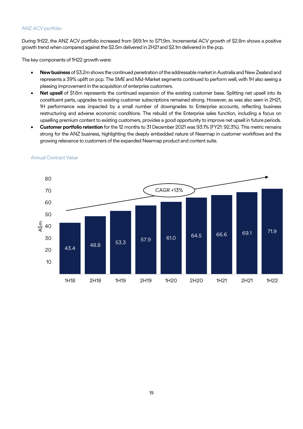#### ANZ ACV portfolio

During 1H22, the ANZ ACV portfolio increased from \$69.1m to \$71.9m. Incremental ACV growth of \$2.8m shows a positive growth trend when compared against the \$2.5m delivered in 2H21 and \$2.1m delivered in the pcp.

The key components of 1H22 growth were:

- **New business** of \$3.2m shows the continued penetration of the addressable market in Australia and New Zealand and represents a 39% uplift on pcp. The SME and Mid-Market segments continued to perform well, with 1H also seeing a pleasing improvement in the acquisition of enterprise customers.
- **Net upsell** of \$1.6m represents the continued expansion of the existing customer base. Splitting net upsell into its constituent parts, upgrades to existing customer subscriptions remained strong. However, as was also seen in 2H21, 1H performance was impacted by a small number of downgrades to Enterprise accounts, reflecting business restructuring and adverse economic conditions. The rebuild of the Enterprise sales function, including a focus on upselling premium content to existing customers, provides a good opportunity to improve net upsell in future periods.
- **Customer portfolio retention** for the 12 months to 31 December 2021 was 93.1% (FY21: 92.3%). This metric remains strong for the ANZ business, highlighting the deeply embedded nature of Nearmap in customer workflows and the growing relevance to customers of the expanded Nearmap product and content suite.



#### Annual Contract Value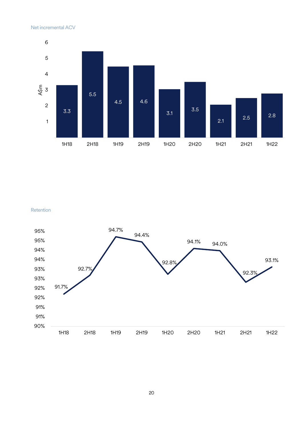

Retention



20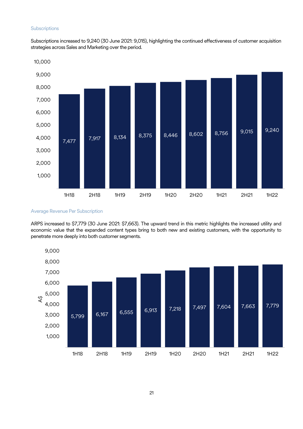#### **Subscriptions**

Subscriptions increased to 9,240 (30 June 2021: 9,015), highlighting the continued effectiveness of customer acquisition strategies across Sales and Marketing over the period.



Average Revenue Per Subscription

ARPS increased to \$7,779 (30 June 2021: \$7,663). The upward trend in this metric highlights the increased utility and economic value that the expanded content types bring to both new and existing customers, with the opportunity to penetrate more deeply into both customer segments.

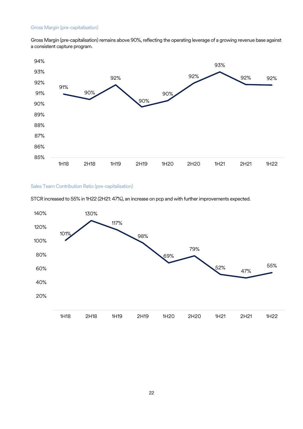Gross Margin (pre-capitalisation) remains above 90%, reflecting the operating leverage of a growing revenue base against a consistent capture program.



#### Sales Team Contribution Ratio (pre-capitalisation)

STCR increased to 55% in 1H22 (2H21: 47%), an increase on pcp and with further improvements expected.

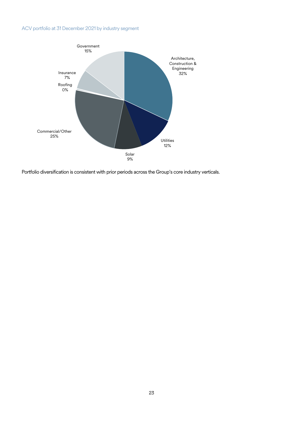## ACV portfolio at 31 December 2021 by industry segment



Portfolio diversification is consistent with prior periods across the Group's core industry verticals.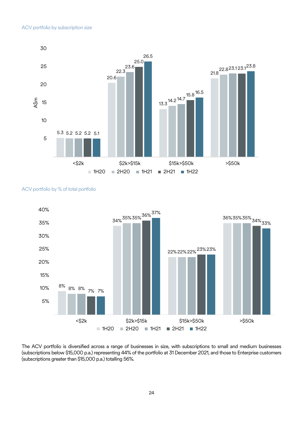

#### ACV portfolio by % of total portfolio



The ACV portfolio is diversified across a range of businesses in size, with subscriptions to small and medium businesses (subscriptions below \$15,000 p.a.) representing 44% of the portfolio at 31 December 2021, and those to Enterprise customers (subscriptions greater than \$15,000 p.a.) totalling 56%.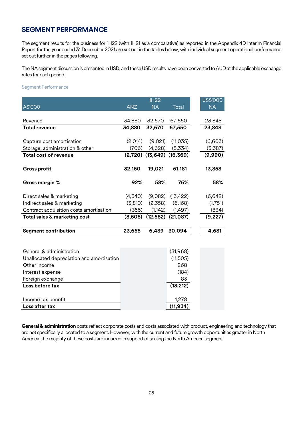## <span id="page-24-0"></span>**SEGMENT PERFORMANCE**

The segment results for the business for 1H22 (with 1H21 as a comparative) as reported in the Appendix 4D Interim Financial Report for the year ended 31 December 2021 are set out in the tables below, with individual segment operational performance set out further in the pages following.

The NA segment discussion is presented in USD, and these USD results have been converted to AUD at the applicable exchange rates for each period.

#### Segment Performance

|                                           |            | 1H22                            |           | US\$'000  |
|-------------------------------------------|------------|---------------------------------|-----------|-----------|
| A\$'000                                   | <b>ANZ</b> | <b>NA</b>                       | Total     | <b>NA</b> |
|                                           |            |                                 |           |           |
| Revenue                                   | 34,880     | 32,670                          | 67,550    | 23,848    |
| <b>Total revenue</b>                      | 34,880     | 32,670                          | 67,550    | 23,848    |
|                                           |            |                                 |           |           |
| Capture cost amortisation                 | (2,014)    | (9,021)                         | (11, 035) | (6,603)   |
| Storage, administration & other           | (706)      | (4,628)                         | (5,334)   | (3,387)   |
| <b>Total cost of revenue</b>              |            | $(2,720)$ $(13,649)$ $(16,369)$ |           | (9,990)   |
|                                           |            |                                 |           |           |
| <b>Gross profit</b>                       | 32,160     | 19,021                          | 51,181    | 13,858    |
|                                           |            |                                 |           |           |
| Gross margin %                            | 92%        | 58%                             | 76%       | 58%       |
|                                           |            |                                 |           |           |
| Direct sales & marketing                  | (4,340)    | (9,082)                         | (13, 422) | (6,642)   |
| Indirect sales & marketing                | (3,810)    | (2,358)                         | (6, 168)  | (1,751)   |
| Contract acquisition costs amortisation   | (355)      | (1, 142)                        | (1,497)   | (834)     |
| Total sales & marketing cost              | (8,505)    | (12, 582)                       | (21,087)  | (9, 227)  |
|                                           |            |                                 |           |           |
| <b>Segment contribution</b>               | 23,655     | 6,439                           | 30,094    | 4,631     |
|                                           |            |                                 |           |           |
|                                           |            |                                 |           |           |
| General & administration                  |            |                                 | (31, 968) |           |
| Unallocated depreciation and amortisation |            |                                 | (11,505)  |           |
| Other income                              |            |                                 | 268       |           |
| Interest expense                          |            |                                 | (184)     |           |
| Foreign exchange                          |            |                                 | 83        |           |
| Loss before tax                           |            |                                 | (13, 212) |           |
|                                           |            |                                 |           |           |
| Income tax benefit                        |            |                                 | 1,278     |           |
| Loss after tax                            |            |                                 | (11, 934) |           |

**General & administration** costs reflect corporate costs and costs associated with product, engineering and technology that are not specifically allocated to a segment. However, with the current and future growth opportunities greater in North America, the majority of these costs are incurred in support of scaling the North America segment.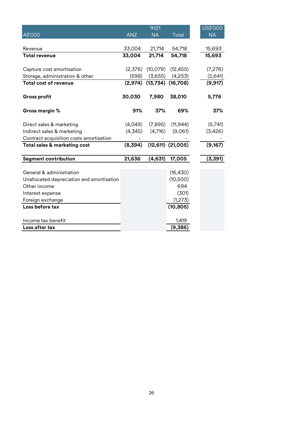|            | 1H21                                                          |                     |                                                                                                                                     | US\$'000  |
|------------|---------------------------------------------------------------|---------------------|-------------------------------------------------------------------------------------------------------------------------------------|-----------|
| <b>ANZ</b> | <b>NA</b>                                                     | Total               |                                                                                                                                     | <b>NA</b> |
|            |                                                               |                     |                                                                                                                                     |           |
| 33,004     | 21,714                                                        | 54,718              |                                                                                                                                     | 15,693    |
| 33,004     | 21,714                                                        | 54,718              |                                                                                                                                     | 15,693    |
|            |                                                               |                     |                                                                                                                                     |           |
|            |                                                               |                     |                                                                                                                                     | (7,276)   |
|            |                                                               |                     |                                                                                                                                     | (2,641)   |
| (2,974)    |                                                               | (16, 708)           |                                                                                                                                     | (9, 917)  |
| 30,030     | 7,980                                                         | 38,010              |                                                                                                                                     | 5,776     |
| 91%        | 37%                                                           | 69%                 |                                                                                                                                     | 37%       |
| (4,049)    | (7,895)                                                       | (11, 944)           |                                                                                                                                     | (5,741)   |
| (4,345)    | (4,716)                                                       | (9,061)             |                                                                                                                                     | (3,426)   |
|            |                                                               |                     |                                                                                                                                     |           |
| (8,394)    |                                                               |                     |                                                                                                                                     | (9,167)   |
| 21,636     | (4,631)                                                       | 17,005              |                                                                                                                                     | (3, 391)  |
|            |                                                               |                     |                                                                                                                                     |           |
|            |                                                               |                     |                                                                                                                                     |           |
|            |                                                               |                     |                                                                                                                                     |           |
|            |                                                               |                     |                                                                                                                                     |           |
|            |                                                               |                     |                                                                                                                                     |           |
|            |                                                               | (10, 805)           |                                                                                                                                     |           |
|            |                                                               |                     |                                                                                                                                     |           |
|            |                                                               |                     |                                                                                                                                     |           |
|            | (2,376)<br>(598)<br>Unallocated depreciation and amortisation | (10,079)<br>(3,655) | (12, 455)<br>(4,253)<br>(13, 734)<br>$(12,611)$ $(21,005)$<br>(16, 430)<br>(10, 500)<br>694<br>(301)<br>(1,273)<br>1,419<br>(9,386) |           |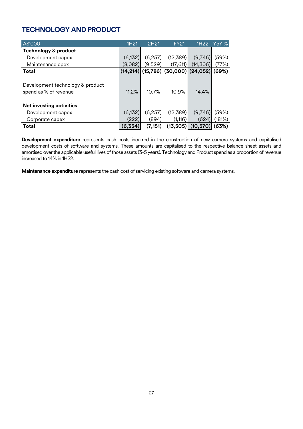## <span id="page-26-0"></span>**TECHNOLOGY AND PRODUCT**

| A\$'000                                                   | 1H21     | 2H21     | <b>FY21</b>                           | 1H <sub>22</sub> | <b>YoY</b> % |
|-----------------------------------------------------------|----------|----------|---------------------------------------|------------------|--------------|
| <b>Technology &amp; product</b>                           |          |          |                                       |                  |              |
| Development capex                                         | (6, 132) | (6,257)  | (12,389)                              | (9,746)          | (59%)        |
| Maintenance opex                                          | (8,082)  | (9,529)  | (17,611)                              | (14,306)         | (77%)        |
| <b>Total</b>                                              |          |          | $(14,214)$ (15,786) (30,000) (24,052) |                  | (69%)        |
| Development technology & product<br>spend as % of revenue | 11.2%    | 10.7%    | 10.9%                                 | 14.4%            |              |
| <b>Net investing activities</b>                           |          |          |                                       |                  |              |
| Development capex                                         | (6, 132) | (6,257)  | (12, 389)                             | (9,746)          | (59%)        |
| Corporate capex                                           | (222)    | (894)    | (1, 116)                              | (624)            | (181%)       |
| Total                                                     | (6,354)  | (7, 151) | (13, 505)                             | (10, 370)        | (63%)        |

**Development expenditure** represents cash costs incurred in the construction of new camera systems and capitalised development costs of software and systems. These amounts are capitalised to the respective balance sheet assets and amortised over the applicable useful lives of those assets (3-5 years). Technology and Product spend as a proportion of revenue increased to 14% in 1H22.

**Maintenance expenditure** represents the cash cost of servicing existing software and camera systems.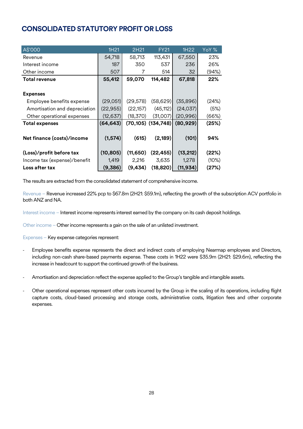## <span id="page-27-0"></span>**CONSOLIDATED STATUTORY PROFIT OR LOSS**

| A\$'000                       | 1H21      | 2H21      | <b>FY21</b>              | 1H22      | YoY % |
|-------------------------------|-----------|-----------|--------------------------|-----------|-------|
| Revenue                       | 54,718    | 58,713    | 113,431                  | 67,550    | 23%   |
| Interest income               | 187       | 350       | 537                      | 236       | 26%   |
| Other income                  | 507       | 7         | 514                      | 32        | (94%) |
| <b>Total revenue</b>          | 55,412    | 59,070    | 114,482                  | 67,818    | 22%   |
|                               |           |           |                          |           |       |
| <b>Expenses</b>               |           |           |                          |           |       |
| Employee benefits expense     | (29,051)  | (29, 578) | (58, 629)                | (35,896)  | (24%) |
| Amortisation and depreciation | (22, 955) | (22, 157) | (45, 112)                | (24, 037) | (5%)  |
| Other operational expenses    | (12, 637) | (18,370)  | (31,007)                 | (20, 996) | (66%) |
| <b>Total expenses</b>         | (64, 643) |           | $(70, 105)$ $(134, 748)$ | (80, 929) | (25%) |
|                               |           |           |                          |           |       |
| Net finance (costs)/income    | (1, 574)  | (615)     | (2, 189)                 | (101)     | 94%   |
|                               |           |           |                          |           |       |
| (Loss)/profit before tax      | (10, 805) | (11, 650) | (22, 455)                | (13, 212) | (22%) |
| Income tax (expense)/benefit  | 1,419     | 2,216     | 3,635                    | 1,278     | (10%) |
| Loss after tax                | (9,386)   | (9, 434)  | (18, 820)                | (11, 934) | (27%) |

The results are extracted from the consolidated statement of comprehensive income.

Revenue – Revenue increased 22% pcp to \$67.8m (2H21: \$59.1m), reflecting the growth of the subscription ACV portfolio in both ANZ and NA.

Interest income – Interest income represents interest earned by the company on its cash deposit holdings.

Other income – Other income represents a gain on the sale of an unlisted investment.

Expenses – Key expense categories represent:

- Employee benefits expense represents the direct and indirect costs of employing Nearmap employees and Directors, including non-cash share-based payments expense. These costs in 1H22 were \$35.9m (2H21: \$29.6m), reflecting the increase in headcount to support the continued growth of the business.
- Amortisation and depreciation reflect the expense applied to the Group's tangible and intangible assets.
- Other operational expenses represent other costs incurred by the Group in the scaling of its operations, including flight capture costs, cloud-based processing and storage costs, administrative costs, litigation fees and other corporate expenses.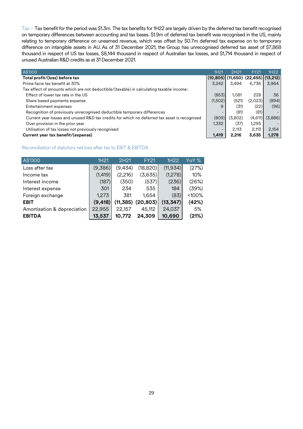Tax – Tax benefit for the period was \$1.3m. The tax benefits for 1H22 are largely driven by the deferred tax benefit recognised on temporary differences between accounting and tax bases. \$1.9m of deferred tax benefit was recognised in the US, mainly relating to temporary difference on unearned revenue, which was offset by \$0.7m deferred tax expense on to temporary difference on intangible assets in AU. As of 31 December 2021, the Group has unrecognised deferred tax asset of \$7,868 thousand in respect of US tax losses, \$8,144 thousand in respect of Australian tax losses, and \$1,714 thousand in respect of unused Australian R&D credits as at 31 December 2021.

| A\$'000                                                                                      | 1H <sub>21</sub> | 2H21    | <b>FY21</b>                                 | 1H22                     |
|----------------------------------------------------------------------------------------------|------------------|---------|---------------------------------------------|--------------------------|
| Total profit/(loss) before tax                                                               |                  |         | $(10,805)$ $(11,650)$ $(22,455)$ $(13,212)$ |                          |
| Prima facie tax benefit at 30%                                                               | 3.242            | 3.494   | 6.736                                       | 3.964                    |
| Tax effect of amounts which are not deductible/(taxable) in calculating taxable income:      |                  |         |                                             |                          |
| Effect of lower tax rate in the US                                                           | (853)            | 1.081   | 228                                         | 36                       |
| Share based payments expense                                                                 | (1,502)          | (521)   | (2,023)                                     | (894)                    |
| Entertainment expenses                                                                       | 9                | (31)    | (22)                                        | (96)                     |
| Recognition of previously unrecognised deductible temporary differences                      | -                | (81)    | (81)                                        | $\overline{\phantom{0}}$ |
| Current year losses and unused R&D tax credits for which no deferred tax asset is recognised | (809)            | (3,802) | (4,611)                                     | (3,886)                  |
| Over provision in the prior year                                                             | 1,332            | (37)    | 1,295                                       | $\overline{\phantom{0}}$ |
| Utilisation of tax losses not previously recognised                                          |                  | 2.113   | 2.113                                       | 2,154                    |
| Current year tax benefit/(expense)                                                           | 1,419            | 2,216   | 3,635                                       | 1,278                    |

#### Reconciliation of statutory net loss after tax to EBIT & EBITDA

| A\$'000                     | 1H <sub>21</sub> | 2H <sub>21</sub> | <b>FY21</b> | 1H22      | YoY % |
|-----------------------------|------------------|------------------|-------------|-----------|-------|
| Loss after tax              | (9,386)          | (9, 434)         | (18, 820)   | (11, 934) | (27%) |
| Income tax                  | (1, 419)         | (2,216)          | (3,635)     | (1,278)   | 10%   |
| Interest income             | (187)            | (350)            | (537)       | (236)     | (26%) |
| Interest expense            | 301              | 234              | 535         | 184       | (39%) |
| Foreign exchange            | 1,273            | 381              | 1,654       | (83)      | <100% |
| <b>EBIT</b>                 | (9, 418)         | (11, 385)        | (20, 803)   | (13, 347) | (42%) |
| Amortisation & depreciation | 22,955           | 22,157           | 45,112      | 24,037    | 5%    |
| <b>EBITDA</b>               | 13,537           | 10.772           | 24,309      | 10,690    | (21%) |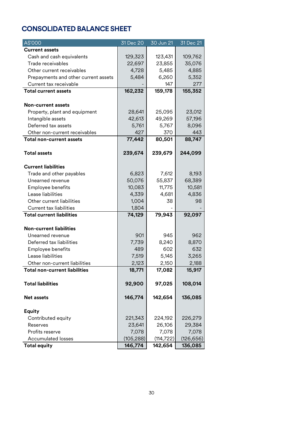## <span id="page-29-0"></span>**CONSOLIDATED BALANCE SHEET**

| A\$'000                              | 31 Dec 20  | 30 Jun 21  | 31 Dec 21  |
|--------------------------------------|------------|------------|------------|
| <b>Current assets</b>                |            |            |            |
| Cash and cash equivalents            | 129,323    | 123,431    | 109,762    |
| Trade receivables                    | 22,697     | 23,855     | 35,076     |
| Other current receivables            | 4,728      | 5,485      | 4,885      |
| Prepayments and other current assets | 5,484      | 6,260      | 5,352      |
| Current tax receivable               |            | 147        | 277        |
| <b>Total current assets</b>          | 162,232    | 159,178    | 155,352    |
|                                      |            |            |            |
| <b>Non-current assets</b>            |            |            |            |
| Property, plant and equipment        | 28,641     | 25,095     | 23,012     |
| Intangible assets                    | 42,613     | 49,269     | 57,196     |
| Deferred tax assets                  | 5,761      | 5,767      | 8,096      |
| Other non-current receivables        | 427        | 370        | 443        |
| <b>Total non-current assets</b>      | 77,442     | 80,501     | 88,747     |
|                                      |            |            |            |
| <b>Total assets</b>                  | 239,674    | 239,679    | 244,099    |
|                                      |            |            |            |
| <b>Current liabilities</b>           |            |            |            |
| Trade and other payables             | 6,823      | 7,612      | 8,193      |
| Unearned revenue                     | 50,076     | 55,837     | 68,389     |
| Employee benefits                    | 10,083     | 11,775     | 10,581     |
| Lease liabilities                    | 4,339      | 4,681      | 4,836      |
| Other current liabilities            | 1,004      | 38         | 98         |
| <b>Current tax liabilities</b>       | 1,804      |            |            |
| <b>Total current liabilities</b>     | 74,129     | 79,943     | 92,097     |
|                                      |            |            |            |
| <b>Non-current liabilities</b>       |            |            |            |
| Unearned revenue                     | 901        | 945        | 962        |
| Deferred tax liabilities             | 7,739      | 8,240      | 8,870      |
| Employee benefits                    | 489        | 602        | 632        |
| Lease liabilities                    | 7,519      | 5,145      | 3,265      |
| Other non-current liabilities        | 2,123      | 2,150      | 2,188      |
| <b>Total non-current liabilities</b> | 18,771     | 17,082     | 15,917     |
|                                      |            |            |            |
| <b>Total liabilities</b>             | 92,900     | 97,025     | 108,014    |
|                                      |            |            |            |
| <b>Net assets</b>                    | 146,774    | 142,654    | 136,085    |
| <b>Equity</b>                        |            |            |            |
| Contributed equity                   | 221,343    | 224,192    | 226,279    |
|                                      | 23,641     | 26,106     | 29,384     |
| Reserves<br>Profits reserve          | 7,078      | 7,078      | 7,078      |
|                                      |            |            |            |
| <b>Accumulated losses</b>            | (105, 288) | (114, 722) | (126, 656) |
| <b>Total equity</b>                  | 146,774    | 142,654    | 136,085    |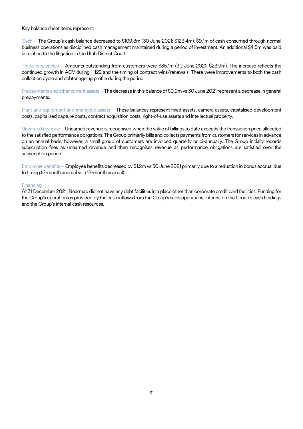Key balance sheet items represent:

Cash – The Group's cash balance decreased to \$109.8m (30 June 2021: \$123.4m). \$9.1m of cash consumed through normal business operations as disciplined cash management maintained during a period of investment. An additional \$4.5m was paid in relation to the litigation in the Utah District Court.

Trade receivables – Amounts outstanding from customers were \$35.1m (30 June 2021: \$23.9m). The increase reflects the continued growth in ACV during 1H22 and the timing of contract wins/renewals. There were improvements to both the cash collection cycle and debtor ageing profile during the period.

Prepayments and other current assets – The decrease in this balance of \$0.9m vs 30 June 2021 represent a decrease in general prepayments.

Plant and equipment and intangible assets – These balances represent fixed assets, camera assets, capitalised development costs, capitalised capture costs, contract acquisition costs, right-of-use assets and intellectual property.

Unearned revenue –Unearned revenue is recognised when the value of billings to date exceeds the transaction price allocated to the satisfied performance obligations.The Group primarily bills and collects payments from customers for services in advance on an annual basis, however, a small group of customers are invoiced quarterly or bi-annually. The Group initially records subscription fees as unearned revenue and then recognises revenue as performance obligations are satisfied over the subscription period.

Employee benefits –Employee benefits decreased by \$1.2m vs 30 June 2021 primarily due to a reduction in bonus accrual due to timing (6-month accrual vs a 12-month accrual).

#### Financing

At 31 December 2021, Nearmap did not have any debt facilities in a place other than corporate credit card facilities. Funding for the Group's operations is provided by the cash inflows from the Group's sales operations, interest on the Group's cash holdings and the Group's internal cash resources.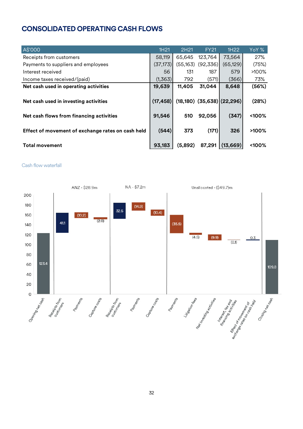## <span id="page-31-0"></span>**CONSOLIDATED OPERATING CASH FLOWS**

| A\$'000                                           | 1H21      | 2H21      | <b>FY21</b> | 1H22                             | YoY %    |
|---------------------------------------------------|-----------|-----------|-------------|----------------------------------|----------|
| Receipts from customers                           | 58,119    | 65,645    | 123,764     | 73,564                           | 27%      |
| Payments to suppliers and employees               | (37, 173) | (55, 163) | (92, 336)   | (65, 129)                        | (75%)    |
| Interest received                                 | 56        | 131       | 187         | 579                              | >100%    |
| Income taxes received/(paid)                      | (1,363)   | 792       | (571)       | (366)                            | 73%      |
| Net cash used in operating activities             | 19,639    | 11,405    | 31,044      | 8,648                            | (56%)    |
| Net cash used in investing activities             | (17, 458) |           |             | $(18,180)$ $(35,638)$ $(22,296)$ | (28%)    |
| Net cash flows from financing activities          | 91,546    | 510       | 92,056      | (347)                            | <100%    |
| Effect of movement of exchange rates on cash held | (544)     | 373       | (171)       | 326                              | $>100\%$ |
| <b>Total movement</b>                             | 93,183    | (5,892)   | 87,291      | (13, 669)                        | <100%    |

#### Cash flow waterfall

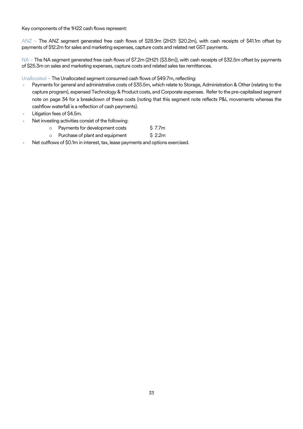Key components of the 1H22 cash flows represent:

ANZ – The ANZ segment generated free cash flows of \$28.9m (2H21: \$20.2m), with cash receipts of \$41.1m offset by payments of \$12.2m for sales and marketing expenses, capture costs and related net GST payments.

NA – The NA segment generated free cash flows of \$7.2m (2H21: (\$3.8m)), with cash receipts of \$32.5m offset by payments of \$25.3m on sales and marketing expenses, capture costs and related sales tax remittances.

Unallocated – The Unallocated segment consumed cash flows of \$49.7m, reflecting:

- Payments for general and administrative costs of \$35.5m, which relate to Storage, Administration & Other (relating to the capture program), expensed Technology & Product costs, and Corporate expenses. Refer to the pre-capitalised segment note on page 34 for a breakdown of these costs (noting that this segment note reflects P&L movements whereas the cashflow waterfall is a reflection of cash payments).
- Litigation fees of \$4.5m.
- Net investing activities consist of the following:
	- o Payments for development costs \$7.7m
	- o Purchase of plant and equipment \$ 2.2m
- <span id="page-32-0"></span>Net outflows of \$0.1m in interest, tax, lease payments and options exercised.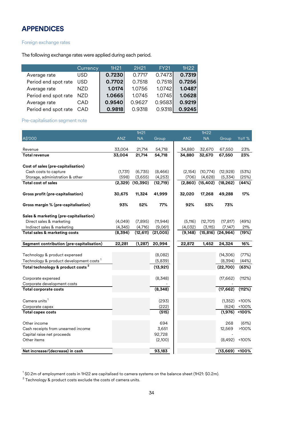## **APPENDICES**

#### Foreign exchange rates

The following exchange rates were applied during each period.

|                      | Currency   | 1H <sub>21</sub> | 2H <sub>21</sub> | <b>FY21</b> | 1H <sub>22</sub> |
|----------------------|------------|------------------|------------------|-------------|------------------|
| Average rate         | <b>USD</b> | 0.7230           | 0.7717           | 0.7473      | 0.7319           |
| Period end spot rate | <b>USD</b> | 0.7702           | 0.7518           | 0.7518      | 0.7256           |
| Average rate         | NZD        | 1.0174           | 1.0756           | 1.0742      | 1.0487           |
| Period end spot rate | NZD.       | 1.0665           | 1.0745           | 1.0745      | 1.0628           |
| Average rate         | CAD        | 0.9540           | 0.9627           | 0.9583      | 0.9219           |
| Period end spot rate | CAD        | 0.9818           | 0.9318           | 0.9318      | 0.9245           |

#### Pre-capitalisation segment note

|                                                     |            | 1H <sub>21</sub>     |                      |            | 1H22                 |                       |          |
|-----------------------------------------------------|------------|----------------------|----------------------|------------|----------------------|-----------------------|----------|
| A\$'000                                             | <b>ANZ</b> | <b>NA</b>            | Group                | <b>ANZ</b> | <b>NA</b>            | Group                 | YoY %    |
|                                                     |            |                      |                      |            |                      |                       |          |
| Revenue                                             | 33,004     | 21,714               | 54,718               | 34,880     | 32,670               | 67,550                | 23%      |
| <b>Total revenue</b>                                | 33,004     | 21,714               | 54,718               | 34,880     | 32,670               | 67,550                | 23%      |
| Cost of sales (pre-capitalisation)                  |            |                      |                      |            |                      |                       |          |
| Cash costs to capture                               | (1,731)    | (6,735)              | (8,466)              | (2, 154)   | (10, 774)            | (12,928)              | (53%)    |
| Storage, administration & other                     | (598)      |                      |                      | (706)      |                      | (5,334)               | (25%)    |
| <b>Total cost of sales</b>                          | (2,329)    | (3,655)<br>(10, 390) | (4,253)<br>(12, 719) | (2,860)    | (4,628)<br>(15, 402) | (18, 262)             | (44%)    |
|                                                     |            |                      |                      |            |                      |                       |          |
| Gross profit (pre-capitalisation)                   | 30,675     | 11,324               | 41,999               | 32,020     | 17,268               | 49,288                | 17%      |
| Gross margin % (pre-capitalisation)                 | 93%        | 52%                  | 77%                  | 92%        | 53%                  | 73%                   |          |
| Sales & marketing (pre-capitalisation)              |            |                      |                      |            |                      |                       |          |
| Direct sales & marketing                            | (4,049)    | (7,895)              | (11, 944)            | (5, 116)   | (12,701)             | (17, 817)             | (49%)    |
| Indirect sales & marketing                          | (4,345)    | (4,716)              | (9,061)              | (4,032)    | (3, 115)             | (7, 147)              | 21%      |
| Total sales & marketing costs                       | (8,394)    | (12, 611)            | (21,005)             | (9, 148)   |                      | $(15,816)$ $(24,964)$ | (19%)    |
| Segment contribution (pre-capitalisation)           | 22,281     | (1, 287)             | 20,994               | 22,872     | 1,452                | 24,324                | 16%      |
|                                                     |            |                      |                      |            |                      |                       |          |
| Technology & product expensed                       |            |                      | (8,082)              |            |                      | (14,306)              | (77%)    |
| Technology & product development costs <sup>1</sup> |            |                      | (5,839)              |            |                      | (8,394)               | (44%)    |
| Total technology & product costs <sup>2</sup>       |            |                      | (13, 921)            |            |                      | (22,700)              | (63%)    |
| Corporate expensed                                  |            |                      | (8,348)              |            |                      | (17, 662)             | (112%)   |
| Corporate development costs                         |            |                      |                      |            |                      |                       |          |
| <b>Total corporate costs</b>                        |            |                      | (8,348)              |            |                      | (17, 662)             | (112%)   |
| Camera units <sup>1</sup>                           |            |                      | (293)                |            |                      | (1, 352)              | <100%    |
| Corporate capex                                     |            |                      | (222)                |            |                      | (624)                 | <100%    |
| <b>Total capex costs</b>                            |            |                      | (515)                |            |                      | (1, 976)              | <100%    |
|                                                     |            |                      |                      |            |                      |                       |          |
| Other income                                        |            |                      | 694                  |            |                      | 268                   | (61%)    |
| Cash receipts from unearned income                  |            |                      | 3,651                |            |                      | 12,569                | $>100\%$ |
| Capital raise net proceeds                          |            |                      | 92,728               |            |                      |                       |          |
| Other items                                         |            |                      | (2,100)              |            |                      | (8,492)               | <100%    |
| Net increase/(decrease) in cash                     |            |                      | 93,183               |            |                      | $(13,669)$ <100%      |          |
|                                                     |            |                      |                      |            |                      |                       |          |

 $^1$  \$0.2m of employment costs in 1H22 are capitalised to camera systems on the balance sheet (1H21: \$0.2m).

 $^{\rm 2}$  Technology & product costs exclude the costs of camera units.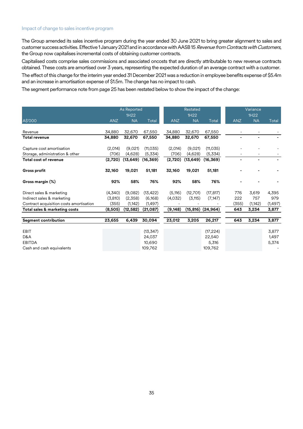#### Impact of change to sales incentive program

The Group amended its sales incentive program during the year ended 30 June 2021 to bring greater alignment to sales and customer success activities. Effective 1 January 2021 and in accordance with AASB 15 Revenue from Contracts with Customers, the Group now capitalises incremental costs of obtaining customer contracts.

Capitalised costs comprise sales commissions and associated oncosts that are directly attributable to new revenue contracts obtained. These costs are amortised over 3 years, representing the expected duration of an average contract with a customer.

The effect of this change for the interim year ended 31 December 2021 was a reduction in employee benefits expense of \$5.4m and an increase in amortisation expense of \$1.5m. The change has no impact to cash.

The segment performance note from page 25 has been restated below to show the impact of the change:

|                                         |            | <b>As Reported</b><br>1H22 |           |            | Restated<br>1H22 |                       |                | Variance<br>1H22 |          |
|-----------------------------------------|------------|----------------------------|-----------|------------|------------------|-----------------------|----------------|------------------|----------|
| A\$'000                                 | <b>ANZ</b> | <b>NA</b>                  | Total     | <b>ANZ</b> | <b>NA</b>        | Total                 | <b>ANZ</b>     | <b>NA</b>        | Total    |
|                                         |            |                            |           |            |                  |                       |                |                  |          |
| Revenue                                 | 34,880     | 32,670                     | 67,550    | 34,880     | 32,670           | 67,550                |                |                  |          |
| <b>Total revenue</b>                    | 34,880     | 32,670                     | 67,550    | 34,880     | 32,670           | 67,550                | $\blacksquare$ | ٠                |          |
| Capture cost amortisation               | (2,014)    | (9,021)                    | (11, 035) | (2,014)    | (9,021)          | (11, 035)             |                |                  |          |
| Storage, administration & other         | (706)      | (4.628)                    | (5,334)   | (706)      | (4,628)          | (5,334)               |                |                  |          |
| <b>Total cost of revenue</b>            | (2,720)    | (13, 649)                  | (16, 369) | (2,720)    | (13, 649)        | (16, 369)             | ٠              | ٠                |          |
| <b>Gross profit</b>                     | 32,160     | 19,021                     | 51,181    | 32,160     | 19,021           | 51,181                |                |                  |          |
| Gross margin (%)                        | 92%        | 58%                        | 76%       | 92%        | 58%              | 76%                   |                |                  |          |
| Direct sales & marketing                | (4,340)    | (9,082)                    | (13, 422) | (5, 116)   | (12,701)         | (17, 817)             | 776            | 3,619            | 4,395    |
| Indirect sales & marketing              | (3,810)    | (2,358)                    | (6, 168)  | (4,032)    | (3, 115)         | (7, 147)              | 222            | 757              | 979      |
| Contract acquisition costs amortisation | (355)      | (1, 142)                   | (1, 497)  |            |                  |                       | (355)          | (1, 142)         | (1, 497) |
| Total sales & marketing costs           | (8,505)    | (12, 582)                  | (21,087)  | (9, 148)   |                  | $(15,816)$ $(24,964)$ | 643            | 3,234            | 3,877    |
| <b>Segment contribution</b>             | 23,655     | 6,439                      | 30,094    | 23,012     | 3,205            | 26,217                | 643            | 3,234            | 3,877    |
|                                         |            |                            |           |            |                  |                       |                |                  |          |
| <b>EBIT</b>                             |            |                            | (13, 347) |            |                  | (17, 224)             |                |                  | 3,877    |
| D&A                                     |            |                            | 24,037    |            |                  | 22,540                |                |                  | 1,497    |
| <b>EBITDA</b>                           |            |                            | 10.690    |            |                  | 5,316                 |                |                  | 5,374    |
| Cash and cash equivalents               |            |                            | 109,762   |            |                  | 109,762               |                |                  |          |